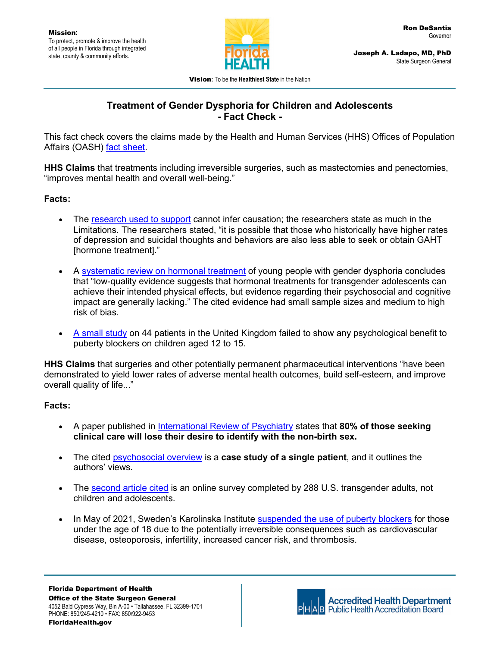

Joseph A. Ladapo, MD, PhD State Surgeon General

Vision**:** To be the **Healthiest State** in the Nation

# **Treatment of Gender Dysphoria for Children and Adolescents - Fact Check -**

This fact check covers the claims made by the Health and Human Services (HHS) Offices of Population Affairs (OASH) [fact sheet.](https://opa.hhs.gov/sites/default/files/2022-03/gender-affirming-care-young-people-march-2022.pdf)

**HHS Claims** that treatments including irreversible surgeries, such as mastectomies and penectomies, "improves mental health and overall well-being."

## **Facts:**

- The [research used to support](https://www.jahonline.org/action/showPdf?pii=S1054-139X%2821%2900568-1) cannot infer causation; the researchers state as much in the Limitations. The researchers stated, "it is possible that those who historically have higher rates of depression and suicidal thoughts and behaviors are also less able to seek or obtain GAHT [hormone treatment]."
- A [systematic review on hormonal treatment](https://publications.aap.org/pediatrics/article/141/4/e20173742/37799/Hormonal-Treatment-in-Young-People-With-Gender) of young people with gender dysphoria concludes that "low-quality evidence suggests that hormonal treatments for transgender adolescents can achieve their intended physical effects, but evidence regarding their psychosocial and cognitive impact are generally lacking." The cited evidence had small sample sizes and medium to high risk of bias.
- [A small study](https://pubmed.ncbi.nlm.nih.gov/33529227/) on 44 patients in the United Kingdom failed to show any psychological benefit to puberty blockers on children aged 12 to 15.

**HHS Claims** that surgeries and other potentially permanent pharmaceutical interventions "have been demonstrated to yield lower rates of adverse mental health outcomes, build self-esteem, and improve overall quality of life..."

### **Facts:**

- A paper published in [International Review of Psychiatry](https://www.tandfonline.com/doi/abs/10.3109/09540261.2015.1115754?journalCode=iirp20) states that **80% of those seeking clinical care will lose their desire to identify with the non-birth sex.**
- The cited [psychosocial overview](https://www.sciencedirect.com/science/article/pii/S1083318819302001?via%3Dihub) is a **case study of a single patient**, and it outlines the authors' views.
- The [second article cited](https://www.ncbi.nlm.nih.gov/pmc/articles/PMC7494544/) is an online survey completed by 288 U.S. transgender adults, not children and adolescents.
- In May of 2021, Sweden's Karolinska Institute [suspended the use of puberty blockers](https://www.socialstyrelsen.se/globalassets/sharepoint-dokument/artikelkatalog/kunskapsstod/2015-4-6.pdf) for those under the age of 18 due to the potentially irreversible consequences such as cardiovascular disease, osteoporosis, infertility, increased cancer risk, and thrombosis.